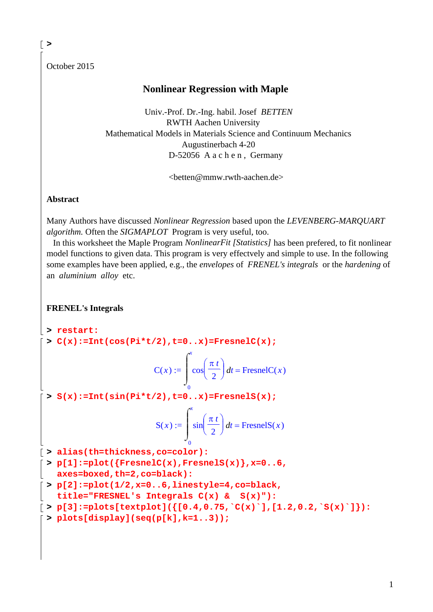October 2015

**>** 

## **Nonlinear Regression with Maple**

 Univ.-Prof. Dr.-Ing. habil. Josef *BETTEN* RWTH Aachen University Mathematical Models in Materials Science and Continuum Mechanics Augustinerbach 4-20 D-52056 A a c h e n, Germany

<betten@mmw.rwth-aachen.de>

**Abstract**

Many Authors have discussed *Nonlinear Regression* based upon the *LEVENBERG-MARQUART algorithm.* Often the *SIGMAPLOT* Program is very useful, too.

 In this worksheet the Maple Program *NonlinearFit [Statistics]* has been prefered, to fit nonlinear model functions to given data. This program is very effectvely and simple to use. In the following some examples have been applied, e.g., the *envelopes* of *FRENEL's integrals* or the *hardening* of an *aluminium alloy* etc.

**FRENEL's Integrals**

**> restart: > C(x):=Int(cos(Pi\*t/2),t=0..x)=FresnelC(x);**  $C(x) := \left| \cos \left( \frac{\pi}{2} \right) \right| dt =$  $\sqrt{ }$  $\begin{array}{c} \hline \end{array}$ *x*  $\big($  $\cos\left(\frac{\pi t}{2}\right)$  $t = \text{FresnelC}(x)$ 

$$
\begin{array}{c}\n 0 \\
 > S(x):=\text{Int}(\sin(\text{Pi}*t/2),t=0..x)=\text{FresnelS}(x);\n\end{array}
$$

 $\int$ 

$$
S(x) := \int_0^x \sin\left(\frac{\pi t}{2}\right) dt = \text{FresnelS}(x)
$$

**> alias(th=thickness,co=color):**

**> p[1]:=plot({FresnelC(x),FresnelS(x)},x=0..6, axes=boxed,th=2,co=black):**

- **> p[2]:=plot(1/2,x=0..6,linestyle=4,co=black, title="FRESNEL's Integrals C(x) & S(x)"):**
- $\lceil > p[3]:=p\text{dots}[\text{textplot}](\{[0.4,0.75, {}^cC(x)^\dagger], [1.2,0.2, {}^cS(x)^\dagger]\};$

```
> plots[display](seq(p[k],k=1..3));
```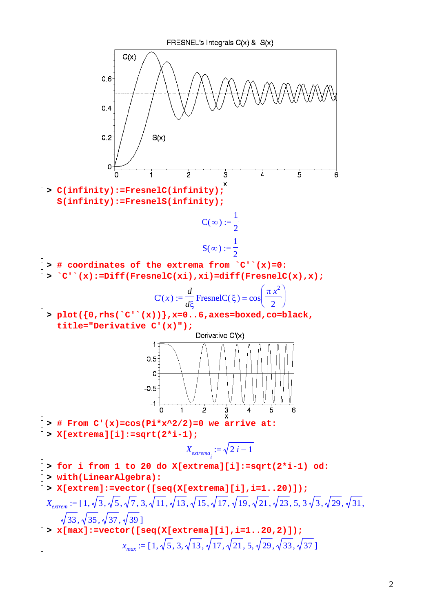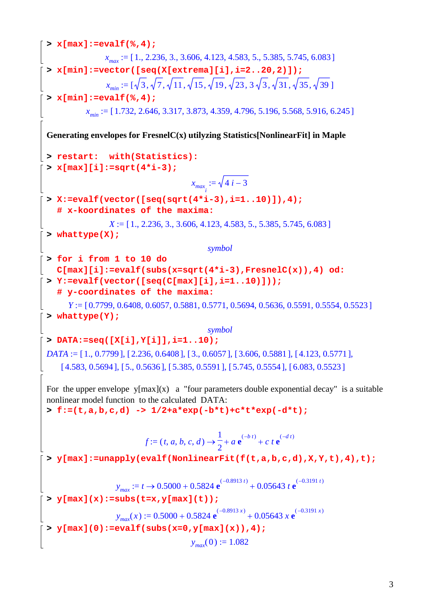```
> x[max]:=evalf(%,4);
                 x_{max} := [1., 2.236, 3., 3.606, 4.123, 4.583, 5., 5.385, 5.745, 6.083]> x[min]:=vector([seq(X[extrema][i],i=2..20,2)]);
                 x_{\text{min}} := [\sqrt{3}, \sqrt{7}, \sqrt{11}, \sqrt{15}, \sqrt{19}, \sqrt{23}, 3\sqrt{3}, \sqrt{31}, \sqrt{35}, \sqrt{39}]> x[min]:=evalf(%,4);
           x_{min} := [1.732, 2.646, 3.317, 3.873, 4.359, 4.796, 5.196, 5.568, 5.916, 6.245]Generating envelopes for FresnelC(x) utilyzing Statistics[NonlinearFit] in Maple
> restart: with(Statistics):
 > x[max][i]:=sqrt(4*i-3);
                                         x_{max_i} := \sqrt{4} i - 3> X:=evalf(vector([seq(sqrt(4*i-3),i=1..10)]),4); 
    # x-koordinates of the maxima:
                  X := [1, 2.236, 3, 3.606, 4.123, 4.583, 5, 5.385, 5.745, 6.083]> whattype(X);
                                             symbol
 > for i from 1 to 10 do 
   C[max][i]:=evalf(subs(x=sqrt(4*i-3),FresnelC(x)),4) od:
 > Y:=evalf(vector([seq(C[max][i],i=1..10)])); 
    # y-coordinates of the maxima:
       Y := [0.7799, 0.6408, 0.6057, 0.5881, 0.5771, 0.5694, 0.5636, 0.5591, 0.5554, 0.5523]
 > whattype(Y);
                                             symbol
 > DATA:=seq([X[i],Y[i]],i=1..10);
 DATA := [1., 0.7799], [2.236, 0.6408], [3., 0.6057], [3.606, 0.5881], [4.123, 0.5771],
     [ 4.583, 0.5694, 5.05636], [ 5.385, 0.5591], [ 5.745, 0.5554], [ 6.083, 0.5523]For the upper envelope y[max](x) a "four parameters double exponential decay" is a suitable
 nonlinear model function to the calculated DATA:
 > f:=(t,a,b,c,d) -> 1/2+a*exp(-b*t)+c*t*exp(-d*t);
                            f := (t, a, b, c, d) \rightarrow - + a e^{b}1
                                                2
                                                   a \mathbf{e}^{(-b \ t)} + c \ t \mathbf{e}^{(-d \ t)}> y[max]:=unapply(evalf(NonlinearFit(f(t,a,b,c,d),X,Y,t),4),t);
                    y_{max} := t \rightarrow 0.5000 + 0.5824 \text{ e}^{(-0.8913 \text{ t})} + 0.05643 \text{ t} \text{ e}^{(-0.3191 \text{ t})}> y[max](x):=subs(t=x,y[max](t));
                    y_{max}(x) := 0.5000 + 0.5824 \text{ e}^{(-0.8913 x)} + 0.05643 x \text{ e}^{(-0.3191 x)}> y[max](0):=evalf(subs(x=0,y[max](x)),4);
                                        y_{\text{max}}(0) := 1.082
```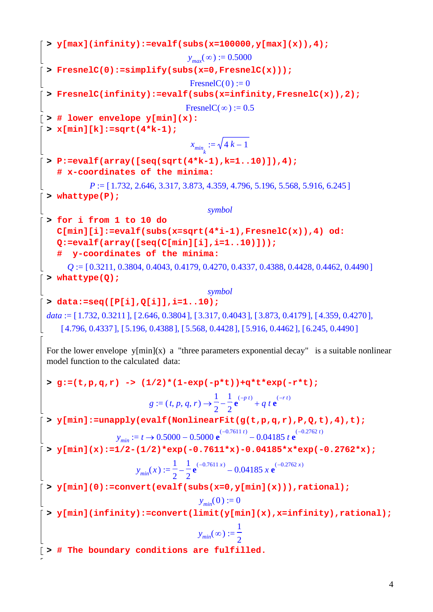**> y[max](infinity):=evalf(subs(x=100000,y[max](x)),4);**  $y_{max}(\infty) := 0.5000$ **> FresnelC(0):=simplify(subs(x=0,FresnelC(x)));**  $FresnelC(0) := 0$ **> FresnelC(infinity):=evalf(subs(x=infinity,FresnelC(x)),2);** FresnelC( $\infty$ ) := 0.5 **> # lower envelope y[min](x): > x[min][k]:=sqrt(4\*k-1);**  $x_{min_k} := \sqrt{4k - 1}$ **> P:=evalf(array([seq(sqrt(4\*k-1),k=1..10)]),4); # x-coordinates of the minima:**  $P := [1.732, 2.646, 3.317, 3.873, 4.359, 4.796, 5.196, 5.568, 5.916, 6.245]$ **> whattype(P);** *symbol* **> for i from 1 to 10 do C[min][i]:=evalf(subs(x=sqrt(4\*i-1),FresnelC(x)),4) od: Q:=evalf(array([seq(C[min][i],i=1..10)])); # y-coordinates of the minima:**  $Q := [0.3211, 0.3804, 0.4043, 0.4179, 0.4270, 0.4337, 0.4388, 0.4428, 0.4462, 0.4490]$ **> whattype(Q);** *symbol* **> data:=seq([P[i],Q[i]],i=1..10);**  $data := [1.732, 0.3211], [2.646, 0.3804], [3.317, 0.4043], [3.873, 0.4179], [4.359, 0.4270],$ [ 4.796, 0.4337 ], [ 5.196, 0.4388 ], [ 5.568, 0.4428 ], [ 5.916, 0.4462 ], [ 6.245, 0.4490 ] For the lower envelope  $y[\min](x)$  a "three parameters exponential decay" is a suitable nonlinear model function to the calculated data: **> g:=(t,p,q,r) -> (1/2)\*(1-exp(-p\*t))+q\*t\*exp(-r\*t);**  $g := (t, p, q, r) \rightarrow \frac{1}{2} - \frac{1}{2} e^{(p+r)} +$ 1 2 1 2  $e^{(-p t)} + q t e^{(-r t)}$ **> y[min]:=unapply(evalf(NonlinearFit(g(t,p,q,r),P,Q,t),4),t);**  $y_{min} := t \rightarrow 0.5000 - 0.5000 \text{ e}^{(-0.7611 \text{ t})} - 0.04185 \text{ t} \text{ e}^{(-0.2762 \text{ t})}$ **> y[min](x):=1/2-(1/2)\*exp(-0.7611\*x)-0.04185\*x\*exp(-0.2762\*x);**  $y_{min}(x) := \frac{1}{2} - \frac{1}{2} e^{x}$ 1 2 1 2  $e^{(-0.7611 x)} - 0.04185 x e^{(-0.2762 x)}$ **> y[min](0):=convert(evalf(subs(x=0,y[min](x))),rational);**  $y_{min}(0) := 0$ **> y[min](infinity):=convert(limit(y[min](x),x=infinity),rational);**  $y_{min}(\infty) :=$ 1 2 **> # The boundary conditions are fulfilled.**

4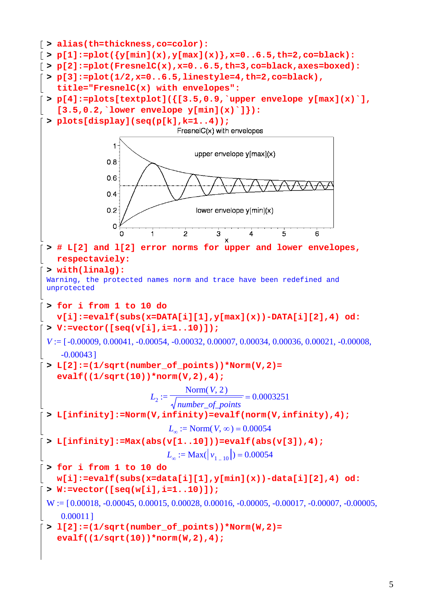```
> alias(th=thickness,co=color):
\lceil > p[1]:=plot(\lceil y[\min](x), y[\max](x)\rceil, x=0..6.5, th=2, co=black):> p[2]:=plot(FresnelC(x),x=0..6.5,th=3,co=black,axes=boxed):
> p[3]:=plot(1/2,x=0..6.5,linestyle=4,th=2,co=black), 
    title="FresnelC(x) with envelopes":
 > p[4]:=plots[textplot]({[3.5,0.9,`upper envelope y[max](x)`], 
    [3.5,0.2,`lower envelope y[min](x)`]}):
> plots[display](seq(p[k],k=1..4));
                                FresnelC(x) with envelopes
                 1
                                    upper envelope y[max](x)
               0.80.60.4 -0.2lower envelope y[min](x)
                 0
                          \overline{1}\overline{2}Ŕ
                                                 \overline{4}\overline{5}Ŕ
 > # L[2] and l[2] error norms for upper and lower envelopes, 
   respectaviely:
 > with(linalg):
 Warning, the protected names norm and trace have been redefined and 
 unprotected 
 > for i from 1 to 10 do 
    v[i]:=evalf(subs(x=DATA[i][1],y[max](x))-DATA[i][2],4) od:
 > V:=vector([seq(v[i],i=1..10)]);
 V := [-0.00009, 0.00041, -0.00054, -0.00032, 0.00007, 0.00034, 0.00036, 0.00021, -0.00008,-0.00043 ]
 > L[2]:=(1/sqrt(number_of_points))*Norm(V,2)= 
    evalf((1/sqrt(10))*norm(V,2),4);
                                  Norm(V, 2)L_2 := \frac{2.18 \times 10^{-4} \text{ J/s}}{L_2 + L_1 L_2 + L_2 L_1} =0.0003251
                                 number_of_points
 > L[infinity]:=Norm(V,infinity)=evalf(norm(V,infinity),4);
                              L_{\infty} := \text{Norm}(V, \infty) = 0.00054> L[infinity]:=Max(abs(v[1..10]))=evalf(abs(v[3]),4);
                             L_{\infty} := \text{Max}(\vert v_1 \vert_{10}) = 0.00054> for i from 1 to 10 do 
   w[i]:=evalf(subs(x=data[i][1],y[min](x))-data[i][2],4) od:
 > W:=vector([seq(w[i],i=1..10)]);
 W := [0.00018, -0.00045, 0.00015, 0.00028, 0.00016, -0.00005, -0.00017, -0.00007, -0.00005,0.00011 ]
 > l[2]:=(1/sqrt(number_of_points))*Norm(W,2)= 
    evalf((1/sqrt(10))*norm(W,2),4);
```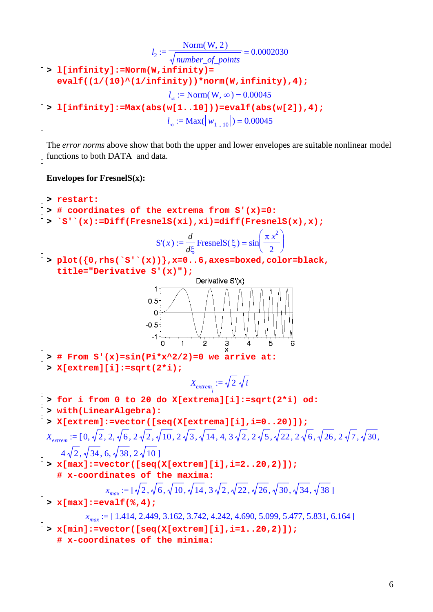$$
l_{2} := \frac{\text{Norm}(W, 2)}{\sqrt{\text{number}} \cdot \text{of\_points}} = 0.0002030
$$
\n
$$
\begin{bmatrix}\n\text{= } \text{11} \text{infinity1} = \text{Norm}(W, \text{ininity1}) = \text{Norm}(W, \text{infinitey1})\n\end{bmatrix} + \text{Norm}(W, \text{infinitey1})\n\begin{bmatrix}\n\text{= } \text{Norm}(W, \infty) = 0.00045 \\
\text{= } \text{11} \text{infinity1} = \text{max}(\text{abs}(w(1..101)) ) = \text{evalf (abs}(w(21), 4);\n\end{bmatrix}
$$
\n
$$
l_{2} := \text{Max}(W_{1...10}(1)) = \text{evalf (abs}(w(21), 4);\n\end{bmatrix}
$$
\n
$$
\begin{bmatrix}\n\text{The error norms above show that both the upper and lower envelopes are suitable nonlinear model functions to both DATA and data.\n\end{bmatrix}
$$
\n
$$
\begin{bmatrix}\n\text{Invelopes for FresnelS(x):\n\end{bmatrix} = \text{varivative of the extrema from } S^+(x) = 0:\n\begin{bmatrix}\n\text{S}^+(x) := \text{Diff}(TresnelS(x), x); \text{if } (TresnelS(\xi) = \sin\left(\frac{\pi^2}{2}\right) \\
\text{S}^+(x) := \text{Diff}(TresnelS(x)) \cdot x; \text{if } (TresnelS(\xi) = \sin\left(\frac{\pi^2}{2}\right) \\
\text{S}^-(x) := \frac{d}{dz} \text{ FresnelS}(\xi) = \sin\left(\frac{\pi^2}{2}\right)\n\end{bmatrix}
$$
\n
$$
\begin{bmatrix}\n\text{S}^+(0, r; \text{fs}^+)(x); \text{if } (T \le x) = 0.6 \text{, axes=b 2} \text{mod } z \text{, color=black}, \\
\text{with} (0, r; \text{fs}^+)(x) = 0 \text{ and } z = 0.6 \text{ and } z = 0.007 \text{ and } z = 0.07 \text{ and } z = 0.07 \text{ and } z = 0.07 \text{ and } z = 0.07 \text{ and } z = 0.07 \text{ and } z = 0.07 \text{ and } z = 0.0
$$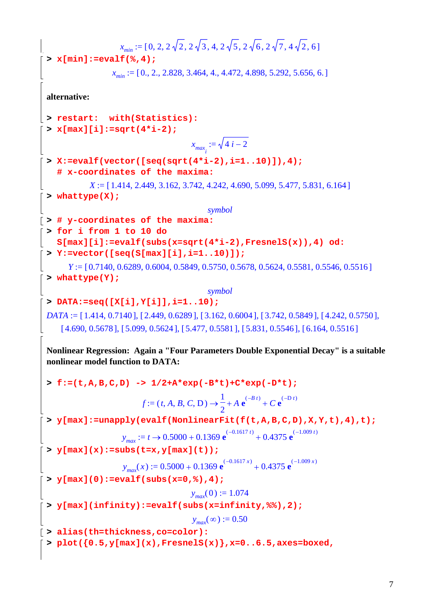```
x_{min} := [0, 2, 2\sqrt{2}, 2\sqrt{3}, 4, 2\sqrt{5}, 2\sqrt{6}, 2\sqrt{7}, 4\sqrt{2}, 6]> x[min]:=evalf(%,4);
                  x_{min} := [0., 2., 2.828, 3.464, 4., 4.472, 4.898, 5.292, 5.656, 6.]alternative:
> restart: with(Statistics):
 > x[max][i]:=sqrt(4*i-2);
                                       x_{max_i} := \sqrt{4} i - 2> X:=evalf(vector([seq(sqrt(4*i-2),i=1..10)]),4); 
    # x-coordinates of the maxima:
            X := [1.414, 2.449, 3.162, 3.742, 4.242, 4.690, 5.099, 5.477, 5.831, 6.164]> whattype(X);
                                          symbol
> # y-coordinates of the maxima:
> for i from 1 to 10 do 
    S[max][i]:=evalf(subs(x=sqrt(4*i-2),FresnelS(x)),4) od:
 > Y:=vector([seq(S[max][i],i=1..10)]); 
       Y = [0.7140, 0.6289, 0.6004, 0.5849, 0.5750, 0.5678, 0.5624, 0.5581, 0.5546, 0.5516]> whattype(Y);
                                          symbol
 > DATA:=seq([X[i],Y[i]],i=1..10);
 DATA := [1.414, 0.7140], [2.449, 0.6289], [3.162, 0.6004], [3.742, 0.5849], [4.242, 0.5750],
     [ 4.690, 0.5678], [ 5.099, 0.5624], [ 5.477, 0.5581], [ 5.831, 0.5546], [ 6.164, 0.5516]Nonlinear Regression: Again a "Four Parameters Double Exponential Decay" is a suitable 
 nonlinear model function to DATA:
 > f:=(t,A,B,C,D) -> 1/2+A*exp(-B*t)+C*exp(-D*t);
                          f := (t, A, B, C, D) \rightarrow \frac{1}{2} + A e^{b}1
                                              2
                                                  A e^{(-B t)} + C e^{(-D t)}> y[max]:=unapply(evalf(NonlinearFit(f(t,A,B,C,D),X,Y,t),4),t); 
                     y_{max} := t \rightarrow 0.5000 + 0.1369 \text{ e}^{(-0.1617 t)} + 0.4375 \text{ e}^{(-1.009 t)}> y[max](x):=subs(t=x,y[max](t));
                     y_{max}(x) := 0.5000 + 0.1369 \text{ e}^{(-0.1617 x)} + 0.4375 \text{ e}^{(-1.009 x)}> y[max](0):=evalf(subs(x=0,%),4);
                                      y_{max}(0) := 1.074> y[max](infinity):=evalf(subs(x=infinity,%%),2);
                                       y_{max}(\infty) := 0.50> alias(th=thickness,co=color):
 > plot({0.5,y[max](x),FresnelS(x)},x=0..6.5,axes=boxed,
```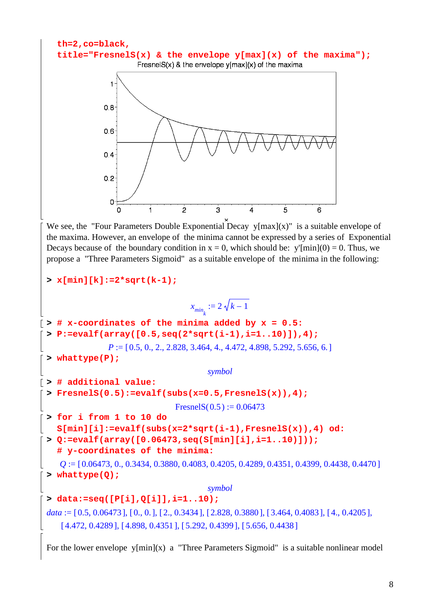

For the lower envelope  $y[\min](x)$  a "Three Parameters Sigmoid" is a suitable nonlinear model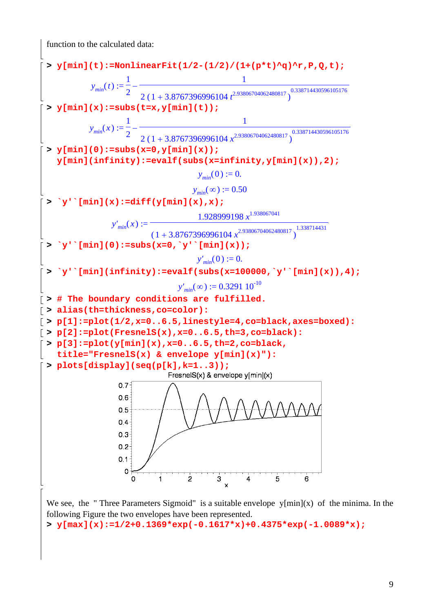function to the calculated data:



We see, the "Three Parameters Sigmoid" is a suitable envelope  $y[\min](x)$  of the minima. In the following Figure the two envelopes have been represented.

```
> y[max](x):=1/2+0.1369*exp(-0.1617*x)+0.4375*exp(-1.0089*x);
```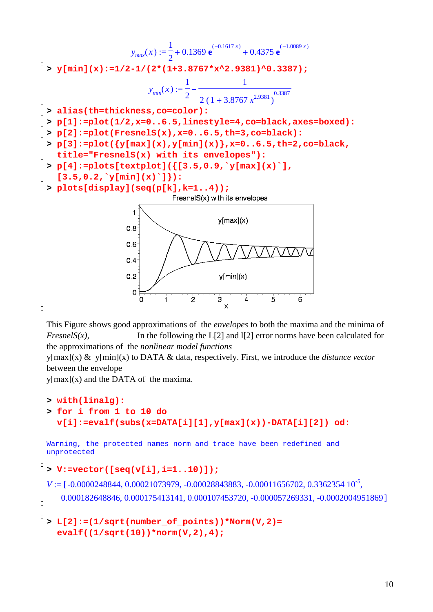y<sub>max</sub>(x) := 
$$
\frac{1}{2}
$$
 + 0.1369 e<sup>(0.1617x)</sup> + 0.4375 e<sup>(1.0089x)</sup>  
\n> y<sub>min</sub>(x) :=  $1/2-1/(2*(1+3.8767*x^2.9381)^{0.3387})$   
\ny<sub>min</sub>(x) :=  $\frac{1}{2}$   
\ny<sub>min</sub>(x) :=  $\frac{1}{2}$   
\n= 1  
\n $\frac{1}{2}$   
\n= 2 (1+3.8767 x<sup>2.9381</sup>)<sup>0.3387</sup>  
\n= 3  
\n $\frac{1}{2}$  = 11: = plot(1/2, x=0..6.5, 11nestyle=4, co-black, axes=boxed) :  
\n= p[3]:=plot(logmax(x), y=0..6.5, th=3, co-black)  
\n= p[3]:=plot(logmax(x), y=0..6.5, th=2, co-black,  
\n= it=878881estblock(13.5, 0.9, y[max](x)^{-1}),  
\n= 13.5, 0.2, y[min](x) ]);  
\n> p[0.8 [display(seq(p[k], k=1..4));  
\n= 13.5, 0.2, y[min](x) ]);  
\n> p[0.8 [display(seq(p[k], k=1..4));  
\n= 13.5, 0.2, y[min](x) ]);  
\n= 0  
\n= 0  
\n= 0  
\n= 0  
\n= 0  
\n= 0  
\n= 0  
\n= 0  
\n= 0  
\n= 0  
\n= 0  
\n= 0  
\n= 0  
\n= 0  
\n= 0  
\n= 0  
\n= 0  
\n= 0  
\n= 0  
\n= 0  
\n= 0  
\n= 0  
\n= 0  
\n= 0  
\n= 0  
\n= 0  
\n= 0  
\n= 0  
\n= 0  
\n= 0  
\n= 0  
\n= 0  
\n= 0  
\n= 0  
\n= 0  
\n= 0  
\n= 0  
\n= 0  
\n= 0  
\n= 0  
\n= 0  
\n= 0  
\n= 0  
\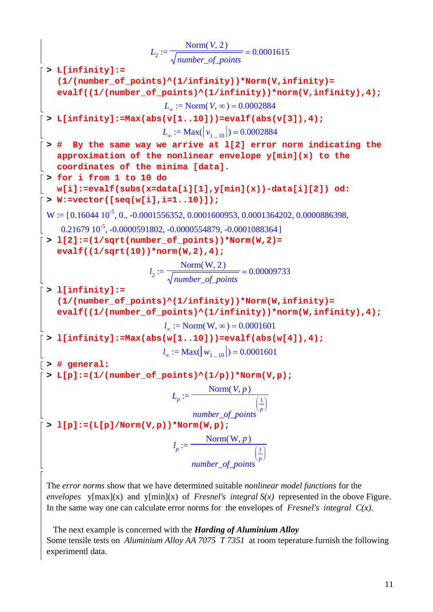*L* := 2 = Norm , ( ) *V* 2 *number\_of\_points* 0.0001615 **> L[infinity]:= (1/(number\_of\_points)^(1/infinity))\*Norm(V,infinity)= evalf((1/(number\_of\_points)^(1/infinity))\*norm(V,infinity),4);** *L* := <sup>∞</sup> Norm , ( ) *V* ∞ = 0.0002884 **> L[infinity]:=Max(abs(v[1..10]))=evalf(abs(v[3]),4);** *L* := <sup>∞</sup> Max( ) *v* = 1 10 .. 0.0002884 **> # By the same way we arrive at l[2] error norm indicating the approximation of the nonlinear envelope y[min](x) to the coordinates of the minima [data]. > for i from 1 to 10 do w[i]:=evalf(subs(x=data[i][1],y[min](x))-data[i][2]) od: > W:=vector([seq(w[i],i=1..10)]);** W 0.16044 10-5 := [ ,, , , , , 0. -0.0001556352 0.0001600953 0.0001364202 0.0000886398 0.21679 10-5,,, ] -0.0000591802 -0.0000554879 -0.0001088364 **> l[2]:=(1/sqrt(number\_of\_points))\*Norm(W,2)= evalf((1/sqrt(10))\*norm(W,2),4);** *l* := 2 = Norm , ( ) W 2 *number\_of\_points* 0.00009733 **> l[infinity]:= (1/(number\_of\_points)^(1/infinity))\*Norm(W,infinity)= evalf((1/(number\_of\_points)^(1/infinity))\*norm(W,infinity),4);** *l* := <sup>∞</sup> Norm , ( ) W ∞ = 0.0001601 **> l[infinity]:=Max(abs(w[1..10]))=evalf(abs(w[4]),4);** *l* := <sup>∞</sup> Max( ) *w* = 1 10 .. 0.0001601 **> # general: > L[p]:=(1/(number\_of\_points)^(1/p))\*Norm(V,p);** *L* := *<sup>p</sup>* Norm , ( ) *V p number\_of\_points* ⎛ ⎝ ⎜ ⎜ ⎞ ⎠ ⎟ ⎟ 1 *p* **> l[p]:=(L[p]/Norm(V,p))\*Norm(W,p);** *l* := *<sup>p</sup>* Norm , ( ) W *p number\_of\_points* ⎛ ⎝ ⎜ ⎜ ⎞ ⎠ ⎟ ⎟ 1 *p*

The *error norms* show that we have determined suitable *nonlinear model functions* for the *envelopes* y[max](x) and y[min](x) of *Fresnel's integral S(x)* represented in the obove Figure. In the same way one can calculate error norms for the envelopes of *Fresnel's integral*  $C(x)$ .

 The next example is concerned with the *Harding of Aluminium Alloy* Some tensile tests on *Aluminium Alloy AA 7075 T 7351* at room teperature furnish the following experimentl data.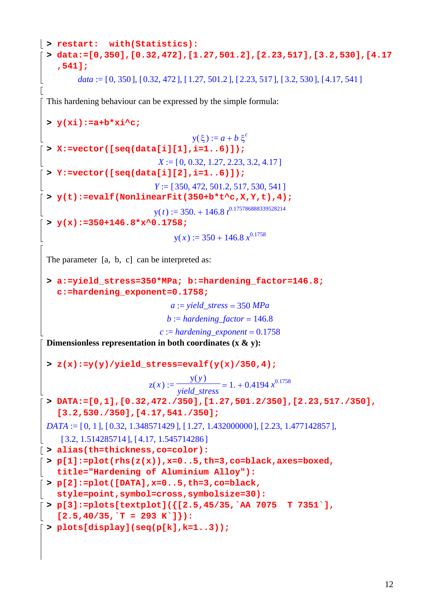```
> restart: with(Statistics): 
 > data:=[0,350],[0.32,472],[1.27,501.2],[2.23,517],[3.2,530],[4.17
    ,541];
        data := [0, 350], [0.32, 472], [1.27, 501.2], [2.23, 517], [3.2, 530], [4.17, 541]
E
 This hardening behaviour can be expressed by the simple formula:
 > y(xi):=a+b*xi^c;
                                   y(\xi) := a + b \xi^c> X:=vector([seq(data[i][1],i=1..6)]);
                           X := [0, 0.32, 1.27, 2.23, 3.2, 4.17]> Y:=vector([seq(data[i][2],i=1..6)]);
                          Y := [350, 472, 501.2, 517, 530, 541]> y(t):=evalf(NonlinearFit(350+b*t^c,X,Y,t),4);
                          y(t) := 350 + 146.8 t^{0.175786888339528214}> y(x):=350+146.8*x^0.1758;
                               y(x) := 350 + 146.8 x^{0.1758}The parameter [a, b, c] can be interpreted as:
 > a:=yield_stress=350*MPa; b:=hardening_factor=146.8; 
   c:=hardening_exponent=0.1758;
                              a := yield_stress = 350 MPa
                             b := hardening\_factor = 146.8c := hardening\;exponent = 0.1758Dimensionless representation in both coordinates (x & y):
 > z(x):=y(y)/yield_stress=evalf(y(x)/350,4);
                                   y(y)1. + 0.4194 x^{0.1758}z(x) := \frac{y(y)}{x^2 + y^2} =yield_stress
 > DATA:=[0,1],[0.32,472./350],[1.27,501.2/350],[2.23,517./350], 
    [3.2,530./350],[4.17,541./350];
 DATA := [0, 1], [0.32, 1.348571429], [1.27, 1.432000000], [2.23, 1.477142857],
    [ 3.2, 1.514285714], [ 4.17, 1.545714286 ]> alias(th=thickness,co=color):
> p[1]:=plot(rhs(z(x)),x=0..5,th=3,co=black,axes=boxed, 
   title="Hardening of Aluminium Alloy"):
> p[2]:=plot([DATA],x=0..5,th=3,co=black, 
   style=point,symbol=cross,symbolsize=30):
\lceil > p[3]:=plots[textplot](\lceil[2.5,45/35,`AA 7075 T 7351`],
   [2.5, 40/35,<sup>+</sup>T = 293 K<sup>+</sup>]}):
> plots[display](seq(p[k],k=1..3));
```

```
12
```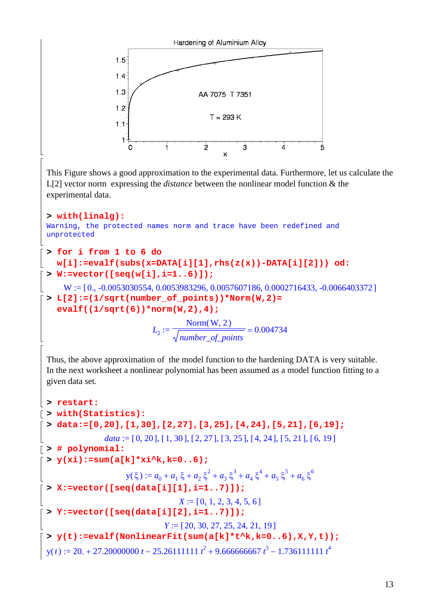

```
13
```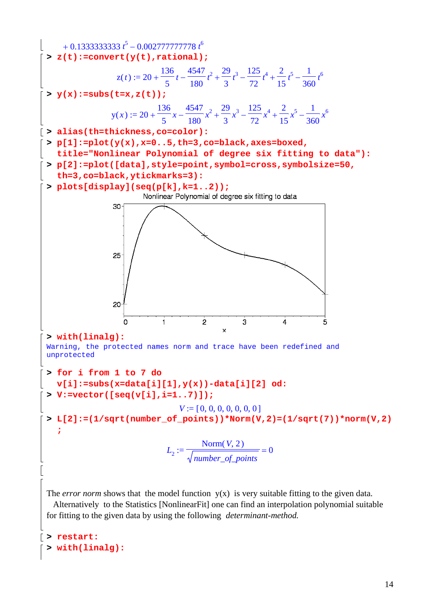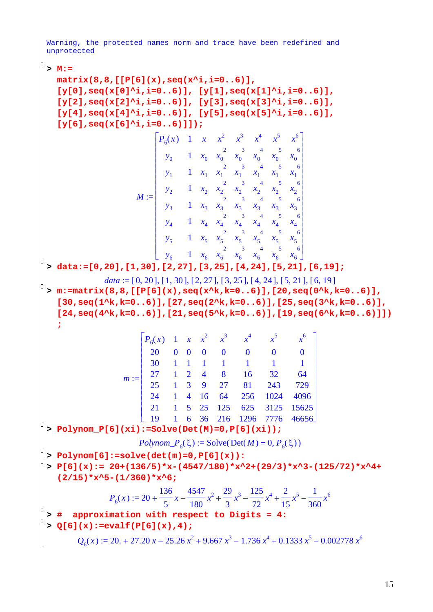Warning, the protected names norm and trace have been redefined and unprotected

**> M:=** 

**matrix(8,8,[[P[6](x),seq(x^i,i=0..6)], [y[0],seq(x[0]^i,i=0..6)], [y[1],seq(x[1]^i,i=0..6)], [y[2],seq(x[2]^i,i=0..6)], [y[3],seq(x[3]^i,i=0..6)],**   $[y[4], \text{seq}(x[4]^i, i=0..6)], [y[5], \text{seq}(x[5]^i, i=0..6)],$ **[y[6],seq(x[6]^i,i=0..6)]]);** 2

$$
M := \begin{bmatrix} P_6(x) & 1 & x & x^2 & x^3 & x^4 & x^5 & x^6 \\ y_0 & 1 & x_0 & x_0 & x_0 & x_0 & x_0 & x_0 \\ y_1 & 1 & x_1 & x_1 & x_1 & x_1 & x_1 & x_1 \\ y_2 & 1 & x_2 & x_2 & x_2 & x_2 & x_2 & x_2 \\ y_3 & 1 & x_3 & x_3 & x_3 & x_3 & x_3 & x_3 \\ y_4 & 1 & x_4 & x_4 & x_4 & x_4 & x_4 & x_4 \\ y_5 & 1 & x_5 & x_5 & x_5 & x_5 & x_5 & x_5 & x_5 \\ y_6 & 1 & x_6 & x_6 & x_6 & x_6 & x_6 & x_6 & x_6 & x_6 \end{bmatrix}
$$

**> data:=[0,20],[1,30],[2,27],[3,25],[4,24],[5,21],[6,19];**

*data* :=  $[0, 20]$ ,  $[1, 30]$ ,  $[2, 27]$ ,  $[3, 25]$ ,  $[4, 24]$ ,  $[5, 21]$ ,  $[6, 19]$ **> m:=matrix(8,8,[[P[6](x),seq(x^k,k=0..6)],[20,seq(0^k,k=0..6)],**   $[30, \text{seq}(1^k, k=0..6)]$ ,  $[27, \text{seq}(2^k, k=0..6)]$ ,  $[25, \text{seq}(3^k, k=0..6)]$ **[24,seq(4^k,k=0..6)],[21,seq(5^k,k=0..6)],[19,seq(6^k,k=0..6)]]) ;**

| $m := \begin{vmatrix} 27 & 1 & 2 & 4 & 8 & 16 & 32 & 64 \\ 25 & 1 & 3 & 9 & 27 & 81 & 243 & 729 \end{vmatrix}$ | $\begin{bmatrix} P_6(x) & 1 & x & x^2 & x^3 & x^4 & x^5 & x^6 \\ 20 & 0 & 0 & 0 & 0 & 0 & 0 & 0 \\ 30 & 1 & 1 & 1 & 1 & 1 & 1 & 1 & 1 \end{bmatrix}$ |  |  |                |                              |
|----------------------------------------------------------------------------------------------------------------|------------------------------------------------------------------------------------------------------------------------------------------------------|--|--|----------------|------------------------------|
|                                                                                                                |                                                                                                                                                      |  |  |                |                              |
|                                                                                                                |                                                                                                                                                      |  |  |                |                              |
|                                                                                                                |                                                                                                                                                      |  |  |                |                              |
|                                                                                                                |                                                                                                                                                      |  |  |                |                              |
|                                                                                                                | $24 \t 1 \t 4$                                                                                                                                       |  |  | 16 64 256 1024 | 4096                         |
|                                                                                                                |                                                                                                                                                      |  |  |                | 21 1 5 25 125 625 3125 15625 |
|                                                                                                                |                                                                                                                                                      |  |  |                | 6 36 216 1296 7776 46656     |

**> Polynom\_P[6](xi):=Solve(Det(M)=0,P[6](xi));**

$$
Polynom_{P_6}(\xi) := \text{Solve}(\text{Det}(M) = 0, P_6(\xi))
$$

 $\lceil$  > Polynom[6]:=solve(det(m)=0,P[6](x)):

**> P[6](x):= 20+(136/5)\*x-(4547/180)\*x^2+(29/3)\*x^3-(125/72)\*x^4+ (2/15)\*x^5-(1/360)\*x^6;**

$$
P_6(x) := 20 + \frac{136}{5}x - \frac{4547}{180}x^2 + \frac{29}{3}x^3 - \frac{125}{72}x^4 + \frac{2}{15}x^5 - \frac{1}{360}x^6
$$

$$
\left[\rightarrow \frac{4}{100}\right]
$$
 approximation with respect to Digits = 4:

**> Q[6](x):=evalf(P[6](x),4);**

$$
Q_6(x) := 20. + 27.20 x - 25.26 x^2 + 9.667 x^3 - 1.736 x^4 + 0.1333 x^5 - 0.002778 x^6
$$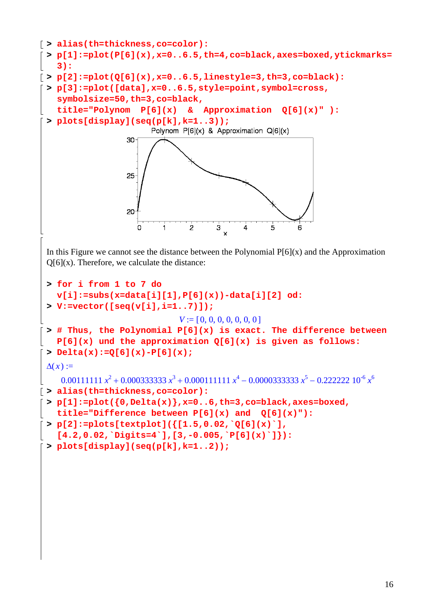```
> alias(th=thickness,co=color):
 > p[1]:=plot(P[6](x),x=0..6.5,th=4,co=black,axes=boxed,ytickmarks=
    3):
> p[2]:=plot(Q[6](x),x=0..6.5,linestyle=3,th=3,co=black):
 > p[3]:=plot([data],x=0..6.5,style=point,symbol=cross, 
   symbolsize=50,th=3,co=black, 
   title="Polynom P[6](x) & Approximation Q[6](x)" ):
 > plots[display](seq(p[k],k=1..3));
                          Polynom P[6](x) & Approximation Q[6](x)
                    30
                    25
                    20
                                         \overline{\overline{3}} x
                            j.
                                   \overline{2}\overline{5}Ö
                                               \overline{4}In this Figure we cannot see the distance between the Polynomial P[6](x) and the Approximation
 Q[6](x). Therefore, we calculate the distance:
 > for i from 1 to 7 do 
   v[i]:=subs(x=data[i][1],P[6](x))-data[i][2] od:
 > V:=vector([seq(v[i],i=1..7)]);
                                V := [0, 0, 0, 0, 0, 0, 0, 0]> # Thus, the Polynomial P[6](x) is exact. The difference between 
   P[6](x) und the approximation Q[6](x) is given as follows:
 > Delta(x):=Q[6](x)-P[6](x);
 \Delta(x) :=0.00111111 x<sup>2</sup> + 0.000333333 x<sup>3</sup> + 0.000111111 x<sup>4</sup> - 0.0000333333 x<sup>5</sup> - 0.222222 10<sup>-6</sup> x<sup>6</sup>> alias(th=thickness,co=color):
 > p[1]:=plot({0,Delta(x)},x=0..6,th=3,co=black,axes=boxed, 
   title="Difference between P[6](x) and Q[6](x)"):
 > p[2]:=plots[textplot]({[1.5,0.02,`Q[6](x)`], 
    [4.2,0.02,`Digits=4`],[3,-0.005,`P[6](x)`]}):
 > plots[display](seq(p[k],k=1..2));
```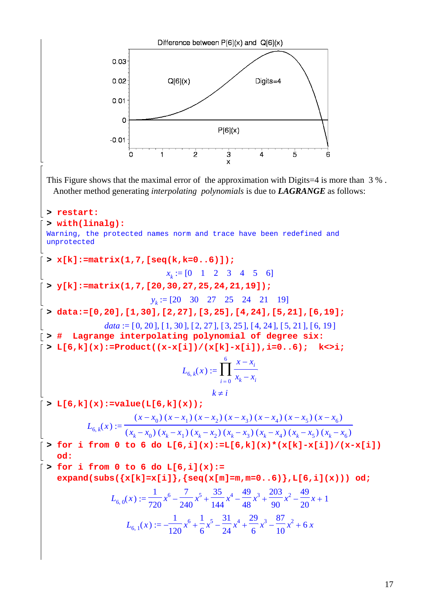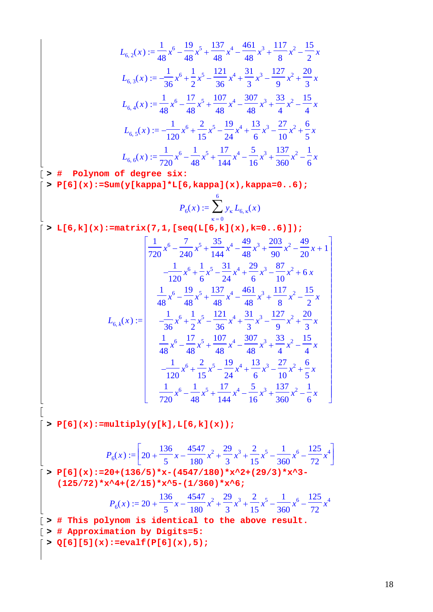$$
L_{6,2}(x) := \frac{1}{48}x^6 - \frac{19}{48}x^5 + \frac{137}{48}x^4 - \frac{461}{48}x^3 + \frac{117}{8}x^2 - \frac{15}{2}x
$$
  
\n
$$
L_{6,3}(x) := -\frac{1}{36}x^6 + \frac{1}{2}x^5 - \frac{121}{36}x^4 + \frac{31}{3}x^3 - \frac{127}{9}x^2 + \frac{20}{3}x
$$
  
\n
$$
L_{6,4}(x) := \frac{1}{48}x^6 - \frac{17}{48}x^5 + \frac{107}{48}x^4 - \frac{307}{48}x^3 + \frac{33}{4}x^2 - \frac{15}{4}x
$$
  
\n
$$
L_{6,5}(x) := -\frac{1}{120}x^6 + \frac{2}{15}x^5 - \frac{19}{24}x^4 + \frac{13}{6}x^3 - \frac{27}{10}x^2 + \frac{6}{5}x
$$
  
\n
$$
L_{6,6}(x) := \frac{1}{720}x^6 - \frac{1}{48}x^5 + \frac{17}{144}x^4 - \frac{5}{16}x^3 + \frac{137}{360}x^2 - \frac{1}{6}x
$$
  
\n**Polynom of degree six:**

**> P[6](x):=Sum(y[kappa]\*L[6,kappa](x),kappa=0..6);**

$$
P_6(x) := \sum_{\kappa=0}^{6} y_{\kappa} L_{6,\kappa}(x)
$$

 $\lceil$  > L[6,k](x):=matrix(7,1,[seq(L[6,k](x),k=0..6)]);

$$
\begin{bmatrix}\n\frac{1}{720}x^6 - \frac{7}{240}x^5 + \frac{35}{144}x^4 - \frac{49}{48}x^3 + \frac{203}{90}x^2 - \frac{49}{20}x + 1 \\
-\frac{1}{120}x^6 + \frac{1}{6}x^5 - \frac{31}{24}x^4 + \frac{29}{6}x^3 - \frac{87}{10}x^2 + 6x \\
\frac{1}{48}x^6 - \frac{19}{48}x^5 + \frac{137}{48}x^4 - \frac{461}{48}x^3 + \frac{117}{8}x^2 - \frac{15}{2}x \\
-\frac{1}{36}x^6 + \frac{1}{2}x^5 - \frac{121}{36}x^4 + \frac{31}{3}x^3 - \frac{127}{9}x^2 + \frac{20}{3}x \\
\frac{1}{48}x^6 - \frac{17}{48}x^5 + \frac{107}{48}x^4 - \frac{307}{48}x^3 + \frac{33}{4}x^2 - \frac{15}{4}x \\
-\frac{1}{120}x^6 + \frac{2}{15}x^5 - \frac{19}{24}x^4 + \frac{13}{6}x^3 - \frac{27}{10}x^2 + \frac{6}{5}x \\
\frac{1}{720}x^6 - \frac{1}{48}x^5 + \frac{17}{144}x^4 - \frac{5}{16}x^3 + \frac{137}{360}x^2 - \frac{1}{6}x
$$

 $\lceil$  > P[6](x):=multiply(y[k],L[6,k](x));

$$
P_6(x) := \left[20 + \frac{136}{5}x - \frac{4547}{180}x^2 + \frac{29}{3}x^3 + \frac{2}{15}x^5 - \frac{1}{360}x^6 - \frac{125}{72}x^4\right]
$$
  
\n> P[6](x) := 20 + (136/5) \*x - (4547/180) \*x^2 + (29/3) \*x^3 -  
\n(125/72) \*x^4 + (2/15) \*x^5 - (1/360) \*x^6;  
\n
$$
P_6(x) := 20 + \frac{136}{5}x - \frac{4547}{180}x^2 + \frac{29}{3}x^3 + \frac{2}{15}x^5 - \frac{1}{360}x^6 - \frac{125}{72}x^4
$$
  
\n[> # This polynomial to the above result.  
\n[> # Approximation by Digits=5:

 $\lceil > Q[6][5](x)$ :=evalf(P[6](x),5);